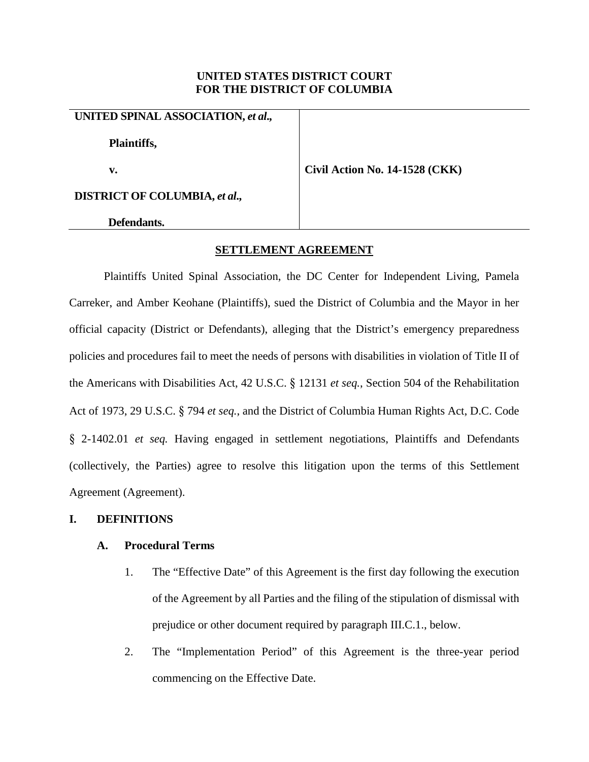# **UNITED STATES DISTRICT COURT FOR THE DISTRICT OF COLUMBIA**

# **UNITED SPINAL ASSOCIATION,** *et al***.,**

**Plaintiffs,**

**v. Civil Action No. 14-1528 (CKK)**

**DISTRICT OF COLUMBIA,** *et al***.,**

**Defendants.**

# **SETTLEMENT AGREEMENT**

Plaintiffs United Spinal Association, the DC Center for Independent Living, Pamela Carreker, and Amber Keohane (Plaintiffs), sued the District of Columbia and the Mayor in her official capacity (District or Defendants), alleging that the District's emergency preparedness policies and procedures fail to meet the needs of persons with disabilities in violation of Title II of the Americans with Disabilities Act, 42 U.S.C. § 12131 *et seq.*, Section 504 of the Rehabilitation Act of 1973, 29 U.S.C. § 794 *et seq.*, and the District of Columbia Human Rights Act, D.C. Code § 2-1402.01 *et seq.* Having engaged in settlement negotiations, Plaintiffs and Defendants (collectively, the Parties) agree to resolve this litigation upon the terms of this Settlement Agreement (Agreement).

# **I. DEFINITIONS**

# **A. Procedural Terms**

- 1. The "Effective Date" of this Agreement is the first day following the execution of the Agreement by all Parties and the filing of the stipulation of dismissal with prejudice or other document required by paragraph III.C.1., below.
- 2. The "Implementation Period" of this Agreement is the three-year period commencing on the Effective Date.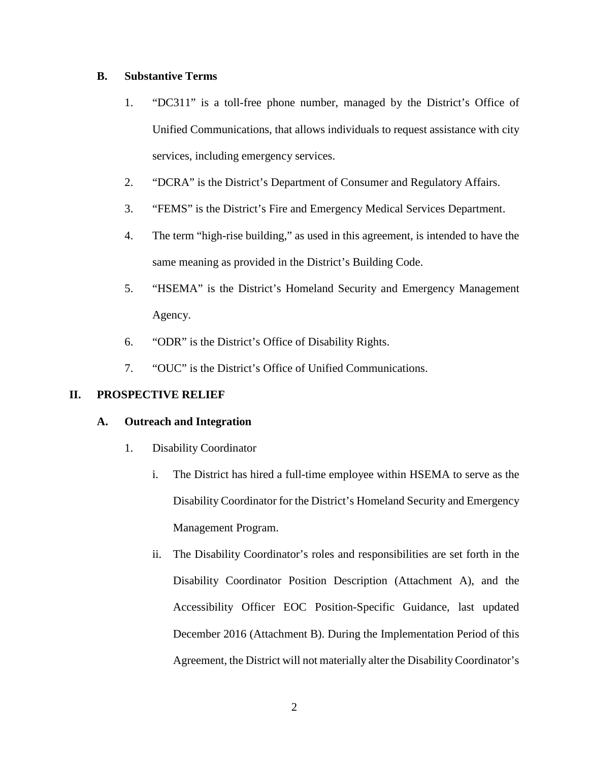# **B. Substantive Terms**

- 1. "DC311" is a toll-free phone number, managed by the District's Office of Unified Communications, that allows individuals to request assistance with city services, including emergency services.
- 2. "DCRA" is the District's Department of Consumer and Regulatory Affairs.
- 3. "FEMS" is the District's Fire and Emergency Medical Services Department.
- 4. The term "high-rise building," as used in this agreement, is intended to have the same meaning as provided in the District's Building Code.
- 5. "HSEMA" is the District's Homeland Security and Emergency Management Agency.
- 6. "ODR" is the District's Office of Disability Rights.
- 7. "OUC" is the District's Office of Unified Communications.

# **II. PROSPECTIVE RELIEF**

# **A. Outreach and Integration**

- 1. Disability Coordinator
	- i. The District has hired a full-time employee within HSEMA to serve as the Disability Coordinator for the District's Homeland Security and Emergency Management Program.
	- ii. The Disability Coordinator's roles and responsibilities are set forth in the Disability Coordinator Position Description (Attachment A), and the Accessibility Officer EOC Position-Specific Guidance, last updated December 2016 (Attachment B). During the Implementation Period of this Agreement, the District will not materially alter the Disability Coordinator's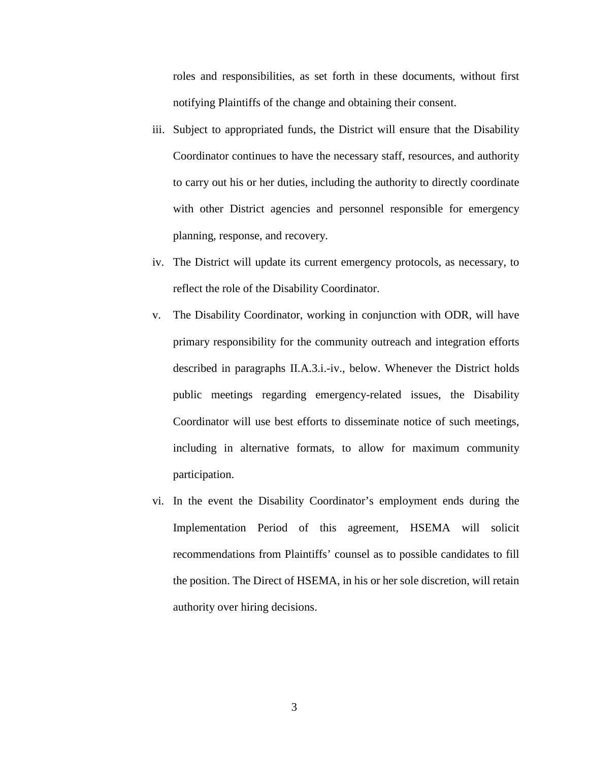roles and responsibilities, as set forth in these documents, without first notifying Plaintiffs of the change and obtaining their consent.

- iii. Subject to appropriated funds, the District will ensure that the Disability Coordinator continues to have the necessary staff, resources, and authority to carry out his or her duties, including the authority to directly coordinate with other District agencies and personnel responsible for emergency planning, response, and recovery.
- iv. The District will update its current emergency protocols, as necessary, to reflect the role of the Disability Coordinator.
- v. The Disability Coordinator, working in conjunction with ODR, will have primary responsibility for the community outreach and integration efforts described in paragraphs II.A.3.i.-iv., below. Whenever the District holds public meetings regarding emergency-related issues, the Disability Coordinator will use best efforts to disseminate notice of such meetings, including in alternative formats, to allow for maximum community participation.
- vi. In the event the Disability Coordinator's employment ends during the Implementation Period of this agreement, HSEMA will solicit recommendations from Plaintiffs' counsel as to possible candidates to fill the position. The Direct of HSEMA, in his or her sole discretion, will retain authority over hiring decisions.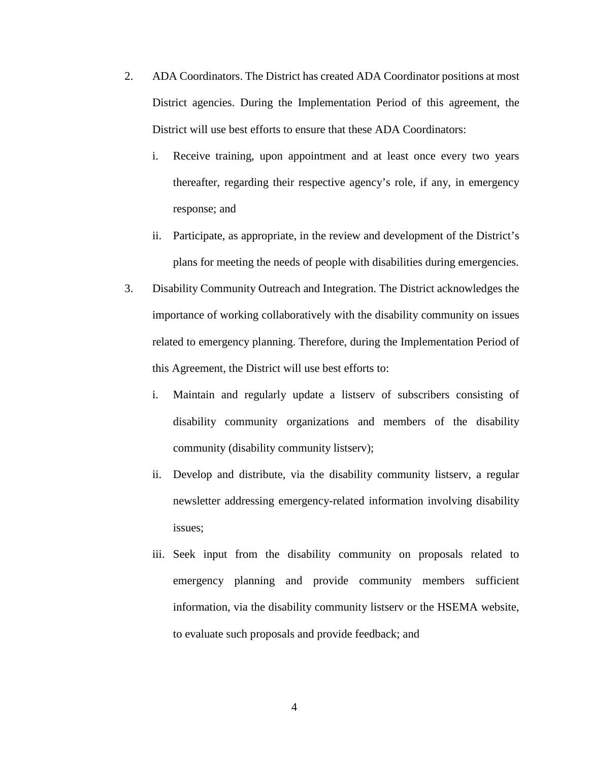- 2. ADA Coordinators. The District has created ADA Coordinator positions at most District agencies. During the Implementation Period of this agreement, the District will use best efforts to ensure that these ADA Coordinators:
	- i. Receive training, upon appointment and at least once every two years thereafter, regarding their respective agency's role, if any, in emergency response; and
	- ii. Participate, as appropriate, in the review and development of the District's plans for meeting the needs of people with disabilities during emergencies.
- 3. Disability Community Outreach and Integration. The District acknowledges the importance of working collaboratively with the disability community on issues related to emergency planning. Therefore, during the Implementation Period of this Agreement, the District will use best efforts to:
	- i. Maintain and regularly update a listserv of subscribers consisting of disability community organizations and members of the disability community (disability community listserv);
	- ii. Develop and distribute, via the disability community listserv, a regular newsletter addressing emergency-related information involving disability issues;
	- iii. Seek input from the disability community on proposals related to emergency planning and provide community members sufficient information, via the disability community listserv or the HSEMA website, to evaluate such proposals and provide feedback; and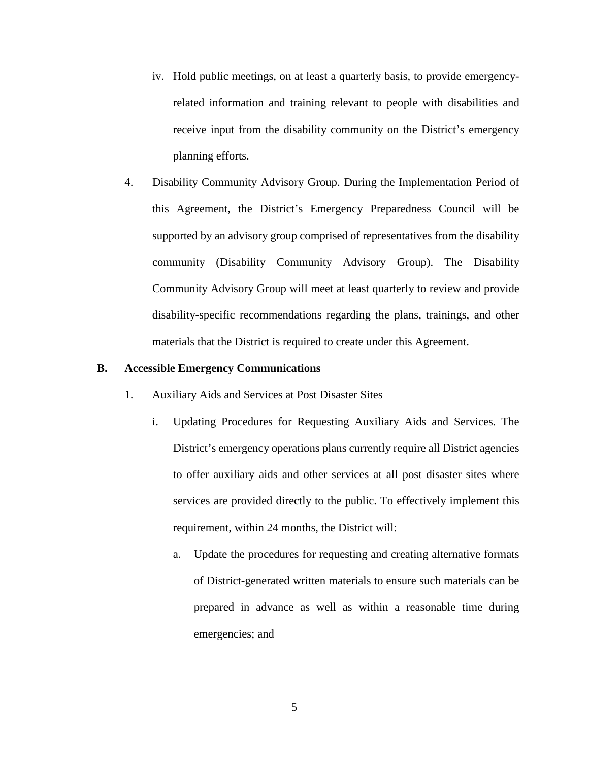- iv. Hold public meetings, on at least a quarterly basis, to provide emergencyrelated information and training relevant to people with disabilities and receive input from the disability community on the District's emergency planning efforts.
- 4. Disability Community Advisory Group. During the Implementation Period of this Agreement, the District's Emergency Preparedness Council will be supported by an advisory group comprised of representatives from the disability community (Disability Community Advisory Group). The Disability Community Advisory Group will meet at least quarterly to review and provide disability-specific recommendations regarding the plans, trainings, and other materials that the District is required to create under this Agreement.

#### **B. Accessible Emergency Communications**

- 1. Auxiliary Aids and Services at Post Disaster Sites
	- i. Updating Procedures for Requesting Auxiliary Aids and Services. The District's emergency operations plans currently require all District agencies to offer auxiliary aids and other services at all post disaster sites where services are provided directly to the public. To effectively implement this requirement, within 24 months, the District will:
		- a. Update the procedures for requesting and creating alternative formats of District-generated written materials to ensure such materials can be prepared in advance as well as within a reasonable time during emergencies; and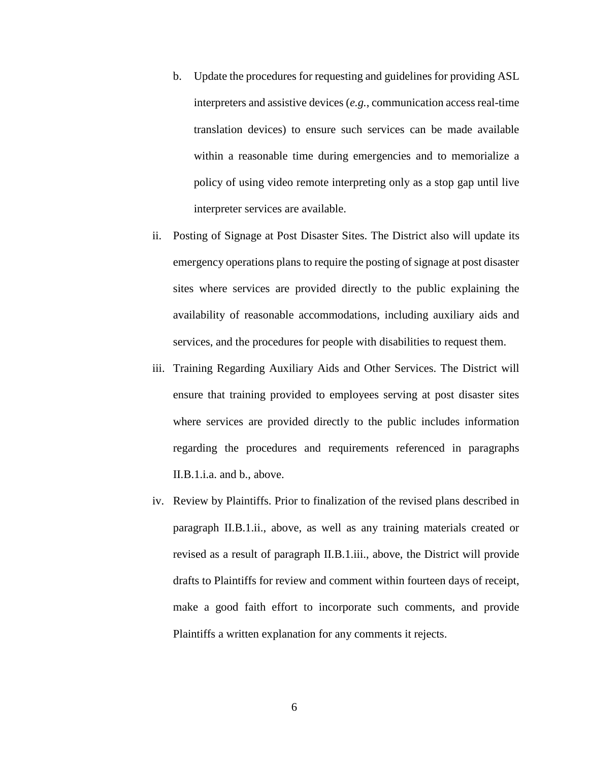- b. Update the procedures for requesting and guidelines for providing ASL interpreters and assistive devices (*e.g.*, communication access real-time translation devices) to ensure such services can be made available within a reasonable time during emergencies and to memorialize a policy of using video remote interpreting only as a stop gap until live interpreter services are available.
- ii. Posting of Signage at Post Disaster Sites. The District also will update its emergency operations plans to require the posting of signage at post disaster sites where services are provided directly to the public explaining the availability of reasonable accommodations, including auxiliary aids and services, and the procedures for people with disabilities to request them.
- iii. Training Regarding Auxiliary Aids and Other Services. The District will ensure that training provided to employees serving at post disaster sites where services are provided directly to the public includes information regarding the procedures and requirements referenced in paragraphs II.B.1.i.a. and b., above.
- iv. Review by Plaintiffs. Prior to finalization of the revised plans described in paragraph II.B.1.ii., above, as well as any training materials created or revised as a result of paragraph II.B.1.iii., above, the District will provide drafts to Plaintiffs for review and comment within fourteen days of receipt, make a good faith effort to incorporate such comments, and provide Plaintiffs a written explanation for any comments it rejects.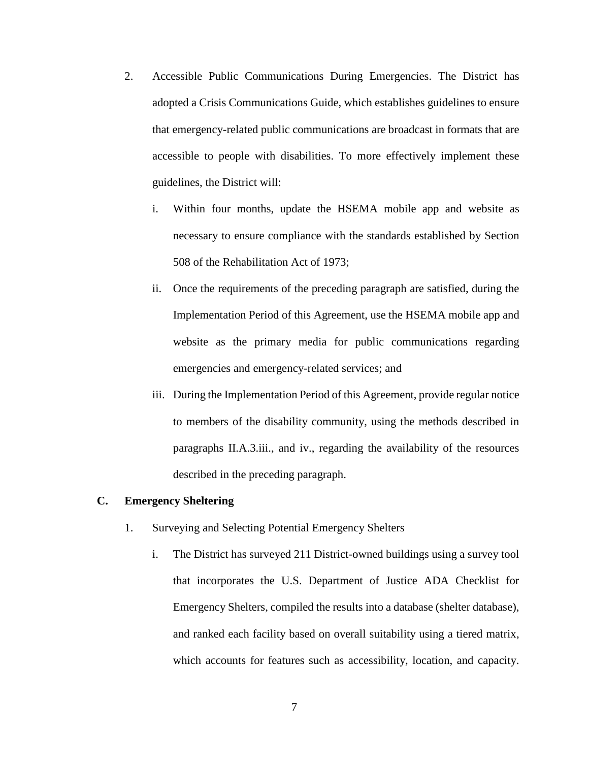- 2. Accessible Public Communications During Emergencies. The District has adopted a Crisis Communications Guide, which establishes guidelines to ensure that emergency-related public communications are broadcast in formats that are accessible to people with disabilities. To more effectively implement these guidelines, the District will:
	- i. Within four months, update the HSEMA mobile app and website as necessary to ensure compliance with the standards established by Section 508 of the Rehabilitation Act of 1973;
	- ii. Once the requirements of the preceding paragraph are satisfied, during the Implementation Period of this Agreement, use the HSEMA mobile app and website as the primary media for public communications regarding emergencies and emergency-related services; and
	- iii. During the Implementation Period of this Agreement, provide regular notice to members of the disability community, using the methods described in paragraphs II.A.3.iii., and iv., regarding the availability of the resources described in the preceding paragraph.

## **C. Emergency Sheltering**

- 1. Surveying and Selecting Potential Emergency Shelters
	- i. The District has surveyed 211 District-owned buildings using a survey tool that incorporates the U.S. Department of Justice ADA Checklist for Emergency Shelters, compiled the results into a database (shelter database), and ranked each facility based on overall suitability using a tiered matrix, which accounts for features such as accessibility, location, and capacity.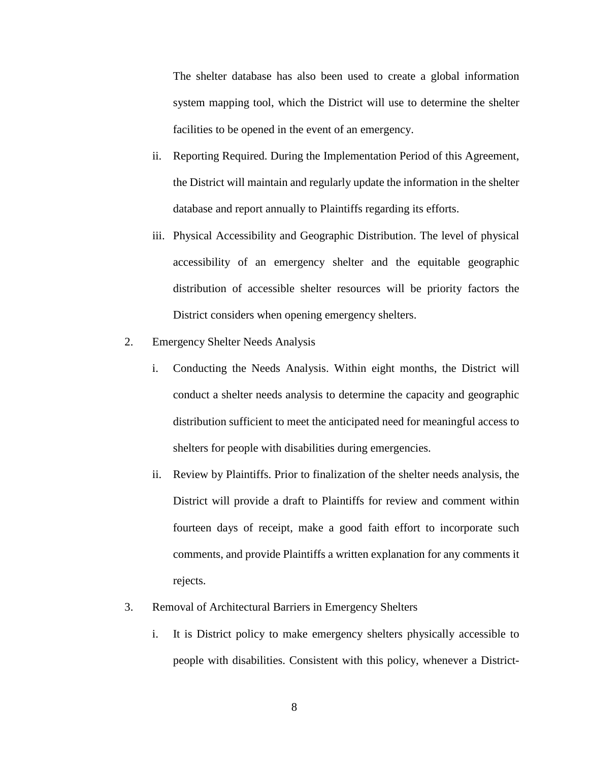The shelter database has also been used to create a global information system mapping tool, which the District will use to determine the shelter facilities to be opened in the event of an emergency.

- ii. Reporting Required. During the Implementation Period of this Agreement, the District will maintain and regularly update the information in the shelter database and report annually to Plaintiffs regarding its efforts.
- iii. Physical Accessibility and Geographic Distribution. The level of physical accessibility of an emergency shelter and the equitable geographic distribution of accessible shelter resources will be priority factors the District considers when opening emergency shelters.
- 2. Emergency Shelter Needs Analysis
	- i. Conducting the Needs Analysis. Within eight months, the District will conduct a shelter needs analysis to determine the capacity and geographic distribution sufficient to meet the anticipated need for meaningful access to shelters for people with disabilities during emergencies.
	- ii. Review by Plaintiffs. Prior to finalization of the shelter needs analysis, the District will provide a draft to Plaintiffs for review and comment within fourteen days of receipt, make a good faith effort to incorporate such comments, and provide Plaintiffs a written explanation for any comments it rejects.
- 3. Removal of Architectural Barriers in Emergency Shelters
	- i. It is District policy to make emergency shelters physically accessible to people with disabilities. Consistent with this policy, whenever a District-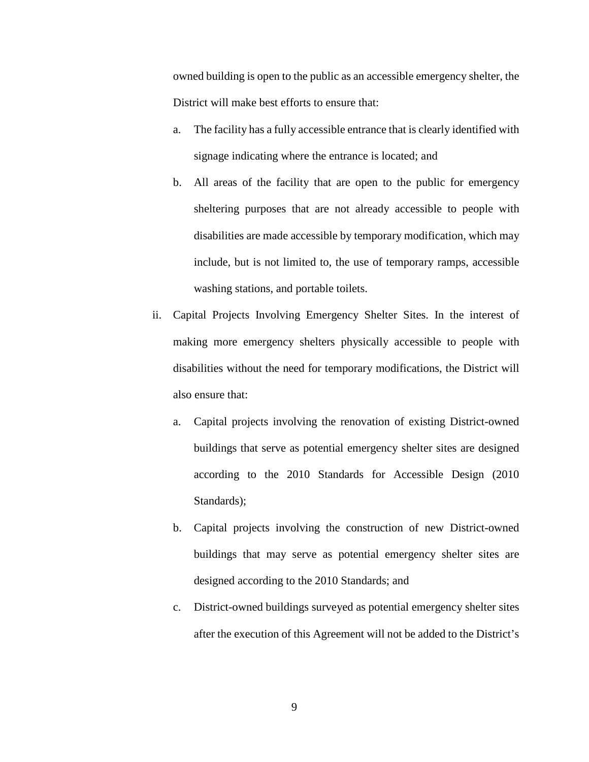owned building is open to the public as an accessible emergency shelter, the District will make best efforts to ensure that:

- a. The facility has a fully accessible entrance that is clearly identified with signage indicating where the entrance is located; and
- b. All areas of the facility that are open to the public for emergency sheltering purposes that are not already accessible to people with disabilities are made accessible by temporary modification, which may include, but is not limited to, the use of temporary ramps, accessible washing stations, and portable toilets.
- ii. Capital Projects Involving Emergency Shelter Sites. In the interest of making more emergency shelters physically accessible to people with disabilities without the need for temporary modifications, the District will also ensure that:
	- a. Capital projects involving the renovation of existing District-owned buildings that serve as potential emergency shelter sites are designed according to the 2010 Standards for Accessible Design (2010 Standards);
	- b. Capital projects involving the construction of new District-owned buildings that may serve as potential emergency shelter sites are designed according to the 2010 Standards; and
	- c. District-owned buildings surveyed as potential emergency shelter sites after the execution of this Agreement will not be added to the District's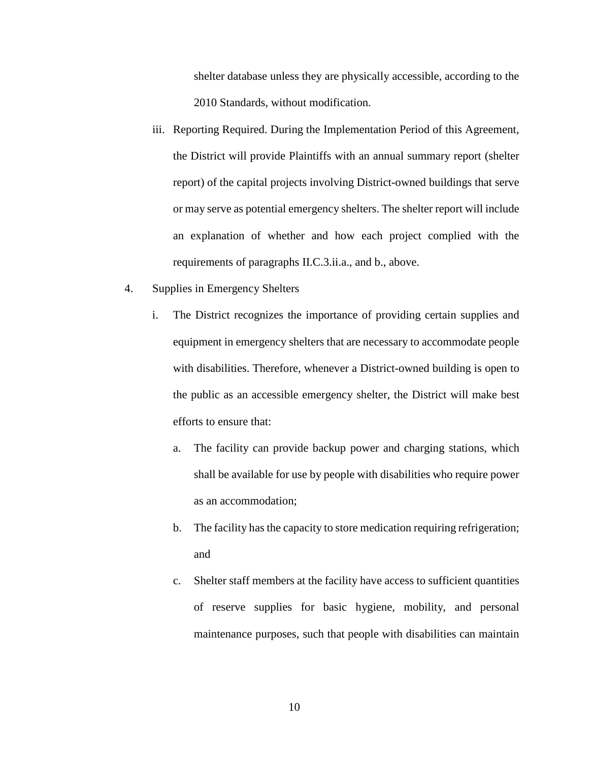shelter database unless they are physically accessible, according to the 2010 Standards, without modification.

- iii. Reporting Required. During the Implementation Period of this Agreement, the District will provide Plaintiffs with an annual summary report (shelter report) of the capital projects involving District-owned buildings that serve or may serve as potential emergency shelters. The shelter report will include an explanation of whether and how each project complied with the requirements of paragraphs II.C.3.ii.a., and b., above.
- 4. Supplies in Emergency Shelters
	- i. The District recognizes the importance of providing certain supplies and equipment in emergency shelters that are necessary to accommodate people with disabilities. Therefore, whenever a District-owned building is open to the public as an accessible emergency shelter, the District will make best efforts to ensure that:
		- a. The facility can provide backup power and charging stations, which shall be available for use by people with disabilities who require power as an accommodation;
		- b. The facility has the capacity to store medication requiring refrigeration; and
		- c. Shelter staff members at the facility have access to sufficient quantities of reserve supplies for basic hygiene, mobility, and personal maintenance purposes, such that people with disabilities can maintain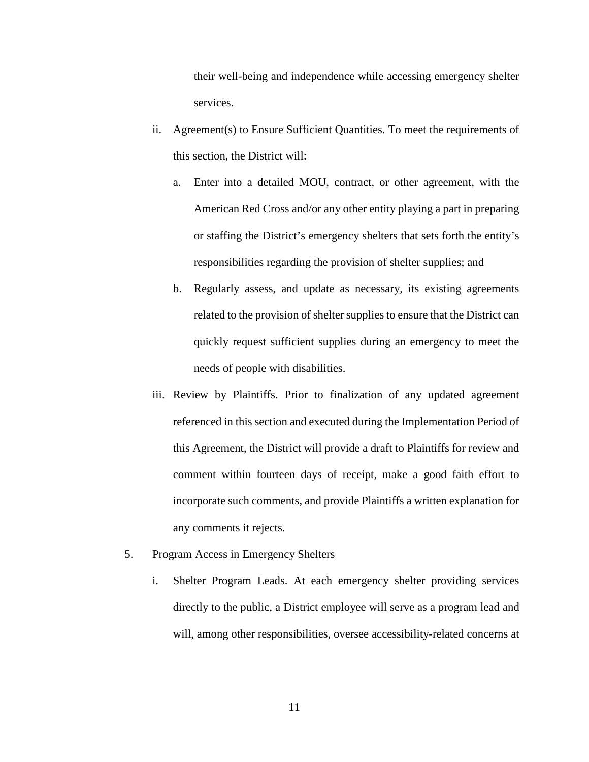their well-being and independence while accessing emergency shelter services.

- ii. Agreement(s) to Ensure Sufficient Quantities. To meet the requirements of this section, the District will:
	- a. Enter into a detailed MOU, contract, or other agreement, with the American Red Cross and/or any other entity playing a part in preparing or staffing the District's emergency shelters that sets forth the entity's responsibilities regarding the provision of shelter supplies; and
	- b. Regularly assess, and update as necessary, its existing agreements related to the provision of shelter supplies to ensure that the District can quickly request sufficient supplies during an emergency to meet the needs of people with disabilities.
- iii. Review by Plaintiffs. Prior to finalization of any updated agreement referenced in this section and executed during the Implementation Period of this Agreement, the District will provide a draft to Plaintiffs for review and comment within fourteen days of receipt, make a good faith effort to incorporate such comments, and provide Plaintiffs a written explanation for any comments it rejects.
- 5. Program Access in Emergency Shelters
	- i. Shelter Program Leads. At each emergency shelter providing services directly to the public, a District employee will serve as a program lead and will, among other responsibilities, oversee accessibility-related concerns at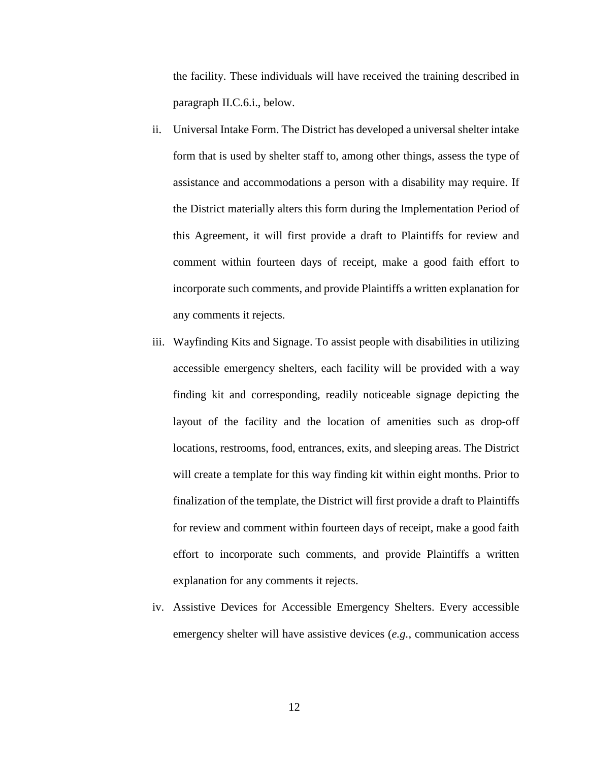the facility. These individuals will have received the training described in paragraph II.C.6.i., below.

- ii. Universal Intake Form. The District has developed a universal shelter intake form that is used by shelter staff to, among other things, assess the type of assistance and accommodations a person with a disability may require. If the District materially alters this form during the Implementation Period of this Agreement, it will first provide a draft to Plaintiffs for review and comment within fourteen days of receipt, make a good faith effort to incorporate such comments, and provide Plaintiffs a written explanation for any comments it rejects.
- iii. Wayfinding Kits and Signage. To assist people with disabilities in utilizing accessible emergency shelters, each facility will be provided with a way finding kit and corresponding, readily noticeable signage depicting the layout of the facility and the location of amenities such as drop-off locations, restrooms, food, entrances, exits, and sleeping areas. The District will create a template for this way finding kit within eight months. Prior to finalization of the template, the District will first provide a draft to Plaintiffs for review and comment within fourteen days of receipt, make a good faith effort to incorporate such comments, and provide Plaintiffs a written explanation for any comments it rejects.
- iv. Assistive Devices for Accessible Emergency Shelters. Every accessible emergency shelter will have assistive devices (*e.g.*, communication access

12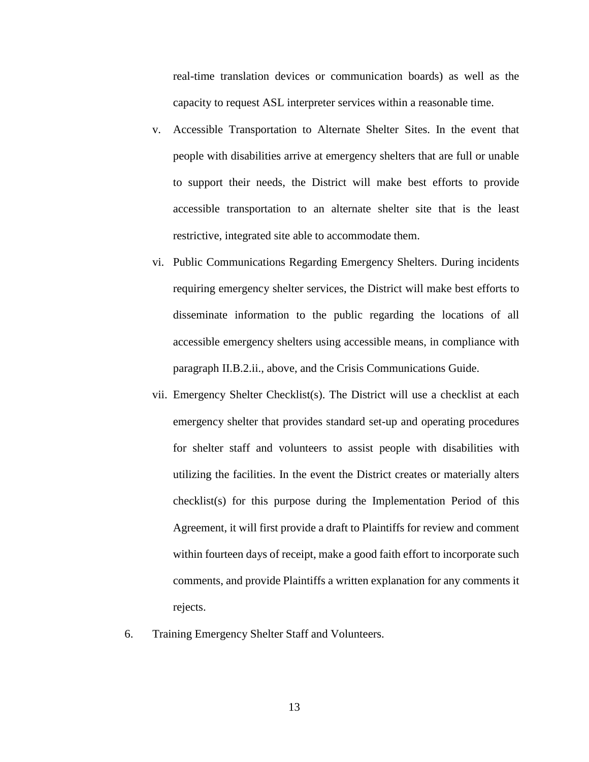real-time translation devices or communication boards) as well as the capacity to request ASL interpreter services within a reasonable time.

- v. Accessible Transportation to Alternate Shelter Sites. In the event that people with disabilities arrive at emergency shelters that are full or unable to support their needs, the District will make best efforts to provide accessible transportation to an alternate shelter site that is the least restrictive, integrated site able to accommodate them.
- vi. Public Communications Regarding Emergency Shelters. During incidents requiring emergency shelter services, the District will make best efforts to disseminate information to the public regarding the locations of all accessible emergency shelters using accessible means, in compliance with paragraph II.B.2.ii., above, and the Crisis Communications Guide.
- vii. Emergency Shelter Checklist(s). The District will use a checklist at each emergency shelter that provides standard set-up and operating procedures for shelter staff and volunteers to assist people with disabilities with utilizing the facilities. In the event the District creates or materially alters checklist(s) for this purpose during the Implementation Period of this Agreement, it will first provide a draft to Plaintiffs for review and comment within fourteen days of receipt, make a good faith effort to incorporate such comments, and provide Plaintiffs a written explanation for any comments it rejects.
- 6. Training Emergency Shelter Staff and Volunteers.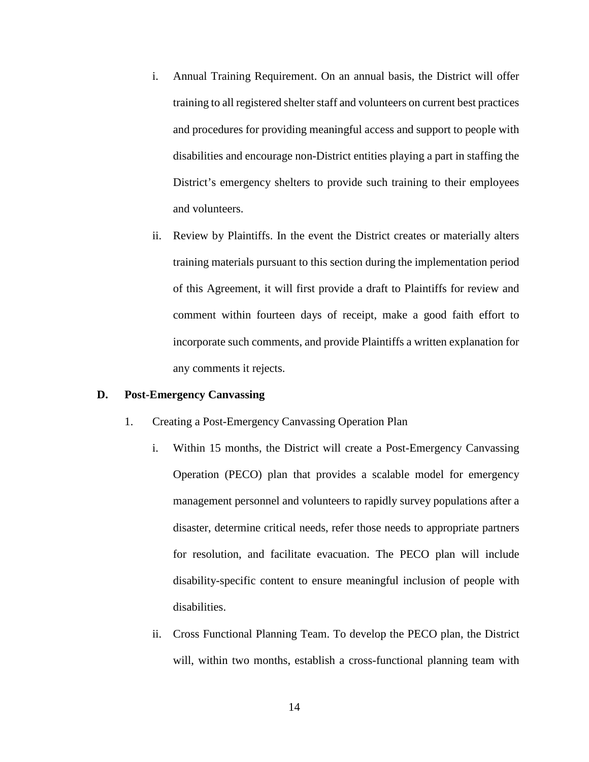- i. Annual Training Requirement. On an annual basis, the District will offer training to all registered shelter staff and volunteers on current best practices and procedures for providing meaningful access and support to people with disabilities and encourage non-District entities playing a part in staffing the District's emergency shelters to provide such training to their employees and volunteers.
- ii. Review by Plaintiffs. In the event the District creates or materially alters training materials pursuant to this section during the implementation period of this Agreement, it will first provide a draft to Plaintiffs for review and comment within fourteen days of receipt, make a good faith effort to incorporate such comments, and provide Plaintiffs a written explanation for any comments it rejects.

## **D. Post-Emergency Canvassing**

- 1. Creating a Post-Emergency Canvassing Operation Plan
	- i. Within 15 months, the District will create a Post-Emergency Canvassing Operation (PECO) plan that provides a scalable model for emergency management personnel and volunteers to rapidly survey populations after a disaster, determine critical needs, refer those needs to appropriate partners for resolution, and facilitate evacuation. The PECO plan will include disability-specific content to ensure meaningful inclusion of people with disabilities.
	- ii. Cross Functional Planning Team. To develop the PECO plan, the District will, within two months, establish a cross-functional planning team with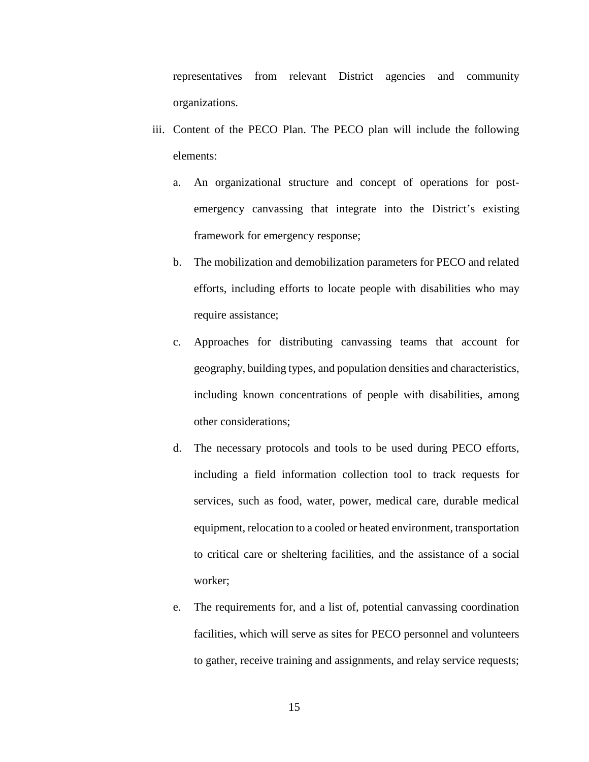representatives from relevant District agencies and community organizations.

- iii. Content of the PECO Plan. The PECO plan will include the following elements:
	- a. An organizational structure and concept of operations for postemergency canvassing that integrate into the District's existing framework for emergency response;
	- b. The mobilization and demobilization parameters for PECO and related efforts, including efforts to locate people with disabilities who may require assistance;
	- c. Approaches for distributing canvassing teams that account for geography, building types, and population densities and characteristics, including known concentrations of people with disabilities, among other considerations;
	- d. The necessary protocols and tools to be used during PECO efforts, including a field information collection tool to track requests for services, such as food, water, power, medical care, durable medical equipment, relocation to a cooled or heated environment, transportation to critical care or sheltering facilities, and the assistance of a social worker;
	- e. The requirements for, and a list of, potential canvassing coordination facilities, which will serve as sites for PECO personnel and volunteers to gather, receive training and assignments, and relay service requests;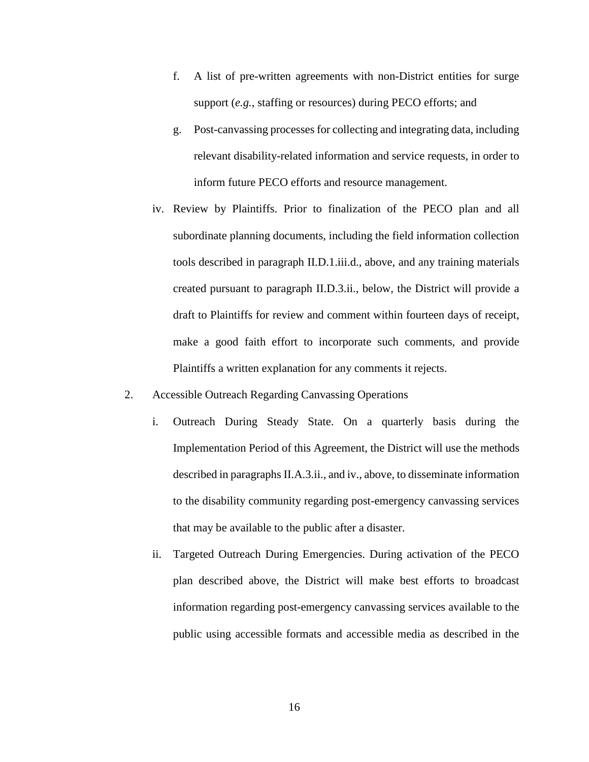- f. A list of pre-written agreements with non-District entities for surge support (*e.g.*, staffing or resources) during PECO efforts; and
- g. Post-canvassing processes for collecting and integrating data, including relevant disability-related information and service requests, in order to inform future PECO efforts and resource management.
- iv. Review by Plaintiffs. Prior to finalization of the PECO plan and all subordinate planning documents, including the field information collection tools described in paragraph II.D.1.iii.d., above, and any training materials created pursuant to paragraph II.D.3.ii., below, the District will provide a draft to Plaintiffs for review and comment within fourteen days of receipt, make a good faith effort to incorporate such comments, and provide Plaintiffs a written explanation for any comments it rejects.
- 2. Accessible Outreach Regarding Canvassing Operations
	- i. Outreach During Steady State. On a quarterly basis during the Implementation Period of this Agreement, the District will use the methods described in paragraphs II.A.3.ii., and iv., above, to disseminate information to the disability community regarding post-emergency canvassing services that may be available to the public after a disaster.
	- ii. Targeted Outreach During Emergencies. During activation of the PECO plan described above, the District will make best efforts to broadcast information regarding post-emergency canvassing services available to the public using accessible formats and accessible media as described in the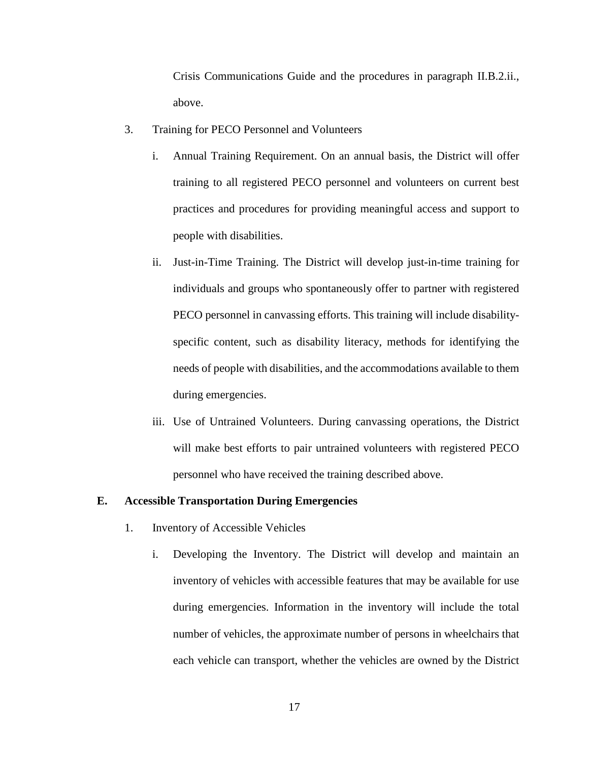Crisis Communications Guide and the procedures in paragraph II.B.2.ii., above.

- 3. Training for PECO Personnel and Volunteers
	- i. Annual Training Requirement. On an annual basis, the District will offer training to all registered PECO personnel and volunteers on current best practices and procedures for providing meaningful access and support to people with disabilities.
	- ii. Just-in-Time Training. The District will develop just-in-time training for individuals and groups who spontaneously offer to partner with registered PECO personnel in canvassing efforts. This training will include disabilityspecific content, such as disability literacy, methods for identifying the needs of people with disabilities, and the accommodations available to them during emergencies.
	- iii. Use of Untrained Volunteers. During canvassing operations, the District will make best efforts to pair untrained volunteers with registered PECO personnel who have received the training described above.

## **E. Accessible Transportation During Emergencies**

- 1. Inventory of Accessible Vehicles
	- i. Developing the Inventory. The District will develop and maintain an inventory of vehicles with accessible features that may be available for use during emergencies. Information in the inventory will include the total number of vehicles, the approximate number of persons in wheelchairs that each vehicle can transport, whether the vehicles are owned by the District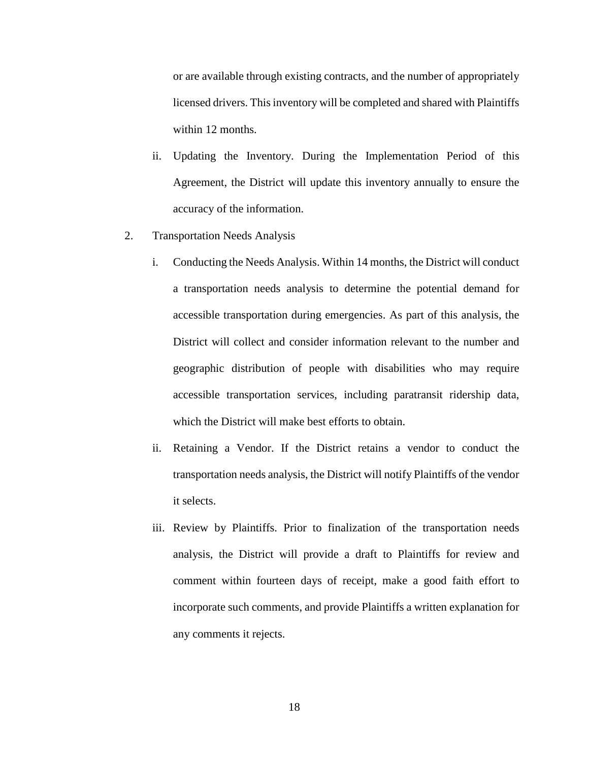or are available through existing contracts, and the number of appropriately licensed drivers. This inventory will be completed and shared with Plaintiffs within 12 months.

- ii. Updating the Inventory. During the Implementation Period of this Agreement, the District will update this inventory annually to ensure the accuracy of the information.
- 2. Transportation Needs Analysis
	- i. Conducting the Needs Analysis. Within 14 months, the District will conduct a transportation needs analysis to determine the potential demand for accessible transportation during emergencies. As part of this analysis, the District will collect and consider information relevant to the number and geographic distribution of people with disabilities who may require accessible transportation services, including paratransit ridership data, which the District will make best efforts to obtain.
	- ii. Retaining a Vendor. If the District retains a vendor to conduct the transportation needs analysis, the District will notify Plaintiffs of the vendor it selects.
	- iii. Review by Plaintiffs. Prior to finalization of the transportation needs analysis, the District will provide a draft to Plaintiffs for review and comment within fourteen days of receipt, make a good faith effort to incorporate such comments, and provide Plaintiffs a written explanation for any comments it rejects.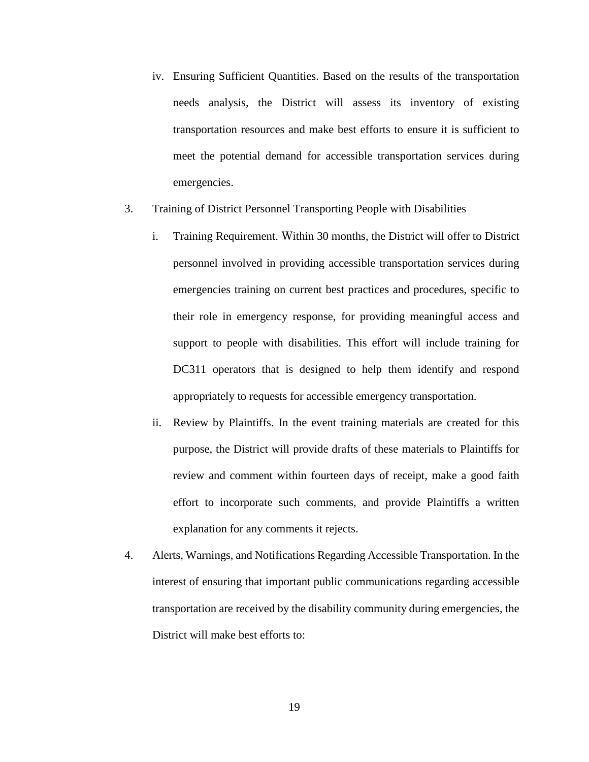- iv. Ensuring Sufficient Quantities. Based on the results of the transportation needs analysis, the District will assess its inventory of existing transportation resources and make best efforts to ensure it is sufficient to meet the potential demand for accessible transportation services during emergencies.
- 3. Training of District Personnel Transporting People with Disabilities
	- i. Training Requirement. Within 30 months, the District will offer to District personnel involved in providing accessible transportation services during emergencies training on current best practices and procedures, specific to their role in emergency response, for providing meaningful access and support to people with disabilities. This effort will include training for DC311 operators that is designed to help them identify and respond appropriately to requests for accessible emergency transportation.
	- ii. Review by Plaintiffs. In the event training materials are created for this purpose, the District will provide drafts of these materials to Plaintiffs for review and comment within fourteen days of receipt, make a good faith effort to incorporate such comments, and provide Plaintiffs a written explanation for any comments it rejects.
- 4. Alerts, Warnings, and Notifications Regarding Accessible Transportation. In the interest of ensuring that important public communications regarding accessible transportation are received by the disability community during emergencies, the District will make best efforts to: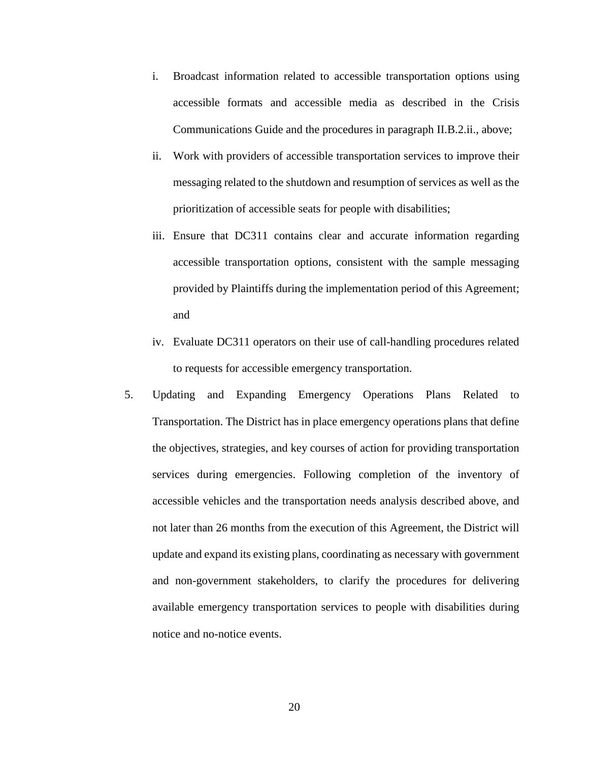- i. Broadcast information related to accessible transportation options using accessible formats and accessible media as described in the Crisis Communications Guide and the procedures in paragraph II.B.2.ii., above;
- ii. Work with providers of accessible transportation services to improve their messaging related to the shutdown and resumption of services as well as the prioritization of accessible seats for people with disabilities;
- iii. Ensure that DC311 contains clear and accurate information regarding accessible transportation options, consistent with the sample messaging provided by Plaintiffs during the implementation period of this Agreement; and
- iv. Evaluate DC311 operators on their use of call-handling procedures related to requests for accessible emergency transportation.
- 5. Updating and Expanding Emergency Operations Plans Related to Transportation. The District has in place emergency operations plans that define the objectives, strategies, and key courses of action for providing transportation services during emergencies. Following completion of the inventory of accessible vehicles and the transportation needs analysis described above, and not later than 26 months from the execution of this Agreement, the District will update and expand its existing plans, coordinating as necessary with government and non-government stakeholders, to clarify the procedures for delivering available emergency transportation services to people with disabilities during notice and no-notice events.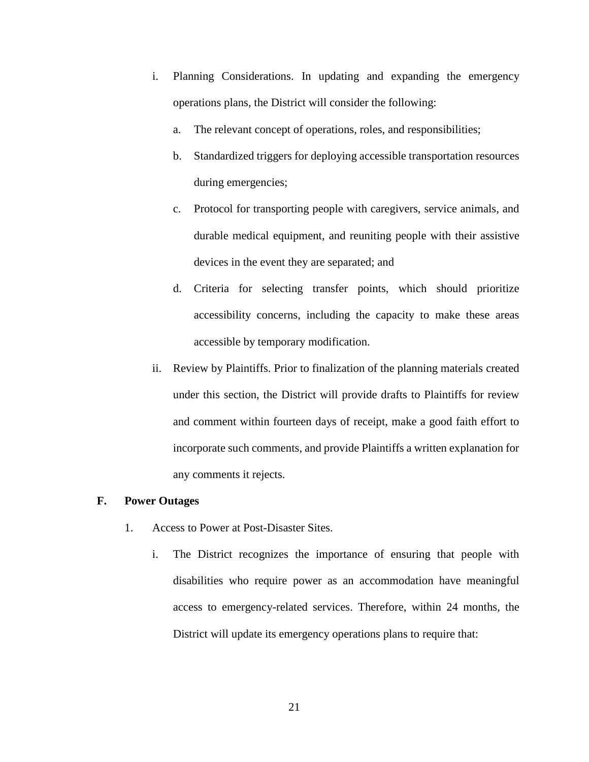- i. Planning Considerations. In updating and expanding the emergency operations plans, the District will consider the following:
	- a. The relevant concept of operations, roles, and responsibilities;
	- b. Standardized triggers for deploying accessible transportation resources during emergencies;
	- c. Protocol for transporting people with caregivers, service animals, and durable medical equipment, and reuniting people with their assistive devices in the event they are separated; and
	- d. Criteria for selecting transfer points, which should prioritize accessibility concerns, including the capacity to make these areas accessible by temporary modification.
- ii. Review by Plaintiffs. Prior to finalization of the planning materials created under this section, the District will provide drafts to Plaintiffs for review and comment within fourteen days of receipt, make a good faith effort to incorporate such comments, and provide Plaintiffs a written explanation for any comments it rejects.

#### **F. Power Outages**

- 1. Access to Power at Post-Disaster Sites.
	- i. The District recognizes the importance of ensuring that people with disabilities who require power as an accommodation have meaningful access to emergency-related services. Therefore, within 24 months, the District will update its emergency operations plans to require that: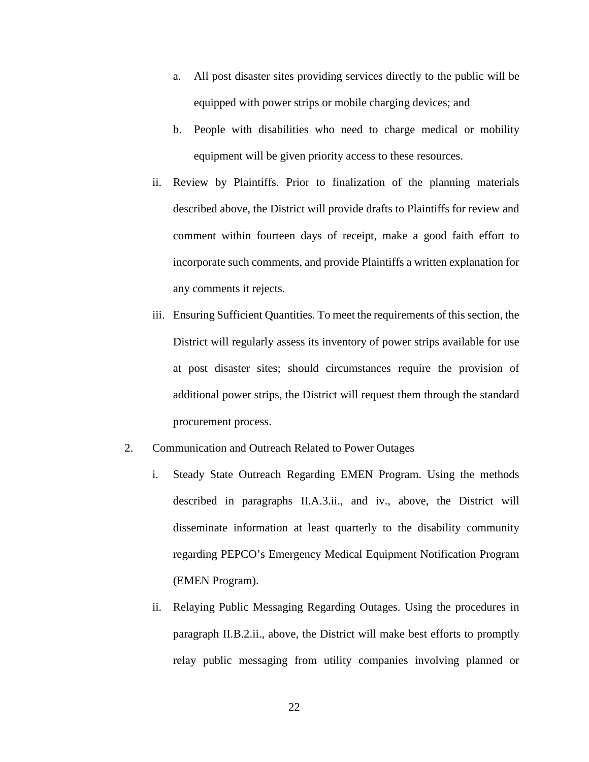- a. All post disaster sites providing services directly to the public will be equipped with power strips or mobile charging devices; and
- b. People with disabilities who need to charge medical or mobility equipment will be given priority access to these resources.
- ii. Review by Plaintiffs. Prior to finalization of the planning materials described above, the District will provide drafts to Plaintiffs for review and comment within fourteen days of receipt, make a good faith effort to incorporate such comments, and provide Plaintiffs a written explanation for any comments it rejects.
- iii. Ensuring Sufficient Quantities. To meet the requirements of this section, the District will regularly assess its inventory of power strips available for use at post disaster sites; should circumstances require the provision of additional power strips, the District will request them through the standard procurement process.
- 2. Communication and Outreach Related to Power Outages
	- i. Steady State Outreach Regarding EMEN Program. Using the methods described in paragraphs II.A.3.ii., and iv., above, the District will disseminate information at least quarterly to the disability community regarding PEPCO's Emergency Medical Equipment Notification Program (EMEN Program).
	- ii. Relaying Public Messaging Regarding Outages. Using the procedures in paragraph II.B.2.ii., above, the District will make best efforts to promptly relay public messaging from utility companies involving planned or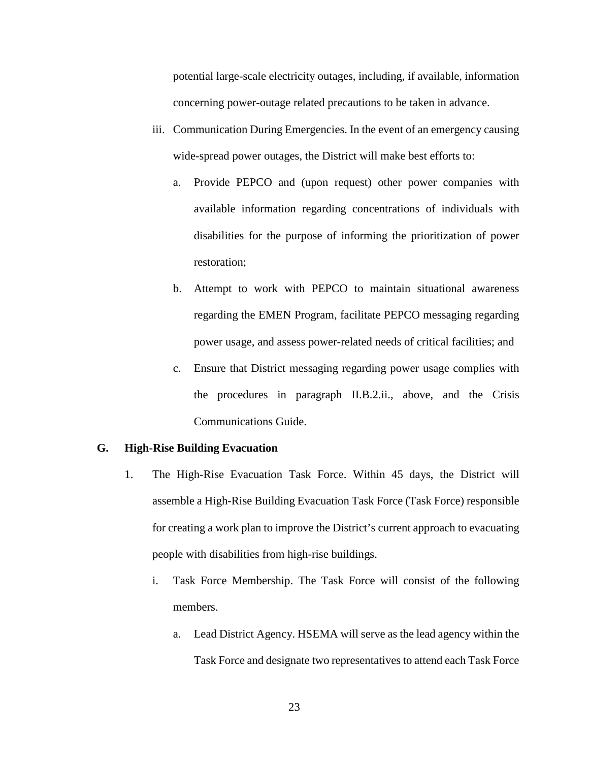potential large-scale electricity outages, including, if available, information concerning power-outage related precautions to be taken in advance.

- iii. Communication During Emergencies. In the event of an emergency causing wide-spread power outages, the District will make best efforts to:
	- a. Provide PEPCO and (upon request) other power companies with available information regarding concentrations of individuals with disabilities for the purpose of informing the prioritization of power restoration;
	- b. Attempt to work with PEPCO to maintain situational awareness regarding the EMEN Program, facilitate PEPCO messaging regarding power usage, and assess power-related needs of critical facilities; and
	- c. Ensure that District messaging regarding power usage complies with the procedures in paragraph II.B.2.ii., above, and the Crisis Communications Guide.

# **G. High-Rise Building Evacuation**

- 1. The High-Rise Evacuation Task Force. Within 45 days, the District will assemble a High-Rise Building Evacuation Task Force (Task Force) responsible for creating a work plan to improve the District's current approach to evacuating people with disabilities from high-rise buildings.
	- i. Task Force Membership. The Task Force will consist of the following members.
		- a. Lead District Agency. HSEMA will serve as the lead agency within the Task Force and designate two representatives to attend each Task Force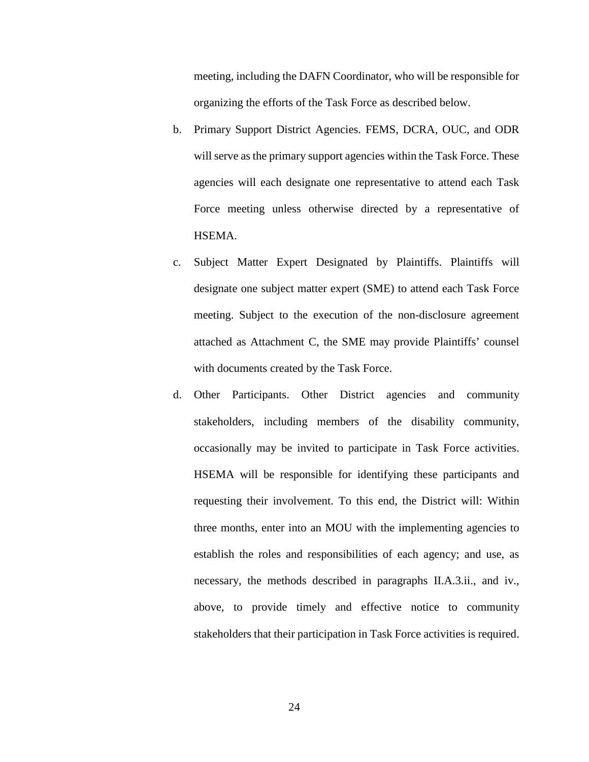meeting, including the DAFN Coordinator, who will be responsible for organizing the efforts of the Task Force as described below.

- b. Primary Support District Agencies. FEMS, DCRA, OUC, and ODR will serve as the primary support agencies within the Task Force. These agencies will each designate one representative to attend each Task Force meeting unless otherwise directed by a representative of HSEMA.
- c. Subject Matter Expert Designated by Plaintiffs. Plaintiffs will designate one subject matter expert (SME) to attend each Task Force meeting. Subject to the execution of the non-disclosure agreement attached as Attachment C, the SME may provide Plaintiffs' counsel with documents created by the Task Force.
- d. Other Participants. Other District agencies and community stakeholders, including members of the disability community, occasionally may be invited to participate in Task Force activities. HSEMA will be responsible for identifying these participants and requesting their involvement. To this end, the District will: Within three months, enter into an MOU with the implementing agencies to establish the roles and responsibilities of each agency; and use, as necessary, the methods described in paragraphs II.A.3.ii., and iv., above, to provide timely and effective notice to community stakeholders that their participation in Task Force activities is required.

24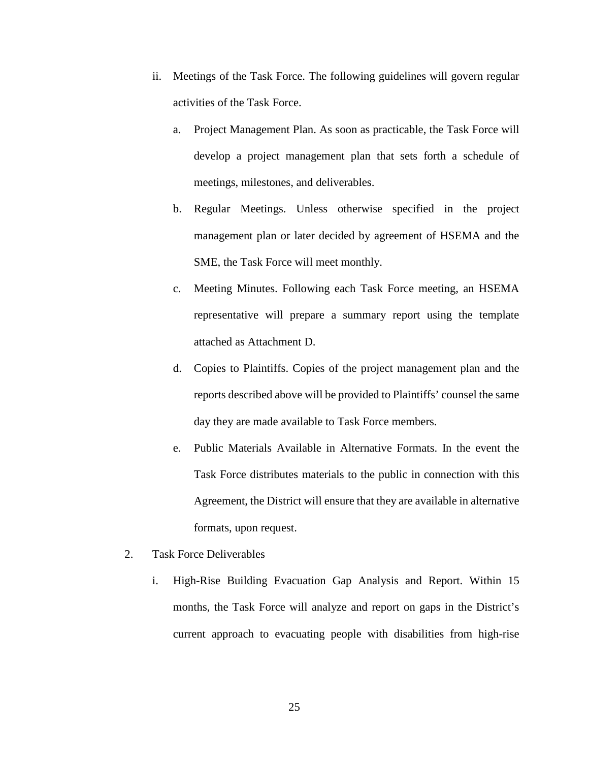- ii. Meetings of the Task Force. The following guidelines will govern regular activities of the Task Force.
	- a. Project Management Plan. As soon as practicable, the Task Force will develop a project management plan that sets forth a schedule of meetings, milestones, and deliverables.
	- b. Regular Meetings. Unless otherwise specified in the project management plan or later decided by agreement of HSEMA and the SME, the Task Force will meet monthly.
	- c. Meeting Minutes. Following each Task Force meeting, an HSEMA representative will prepare a summary report using the template attached as Attachment D.
	- d. Copies to Plaintiffs. Copies of the project management plan and the reports described above will be provided to Plaintiffs' counsel the same day they are made available to Task Force members.
	- e. Public Materials Available in Alternative Formats. In the event the Task Force distributes materials to the public in connection with this Agreement, the District will ensure that they are available in alternative formats, upon request.
- 2. Task Force Deliverables
	- i. High-Rise Building Evacuation Gap Analysis and Report. Within 15 months, the Task Force will analyze and report on gaps in the District's current approach to evacuating people with disabilities from high-rise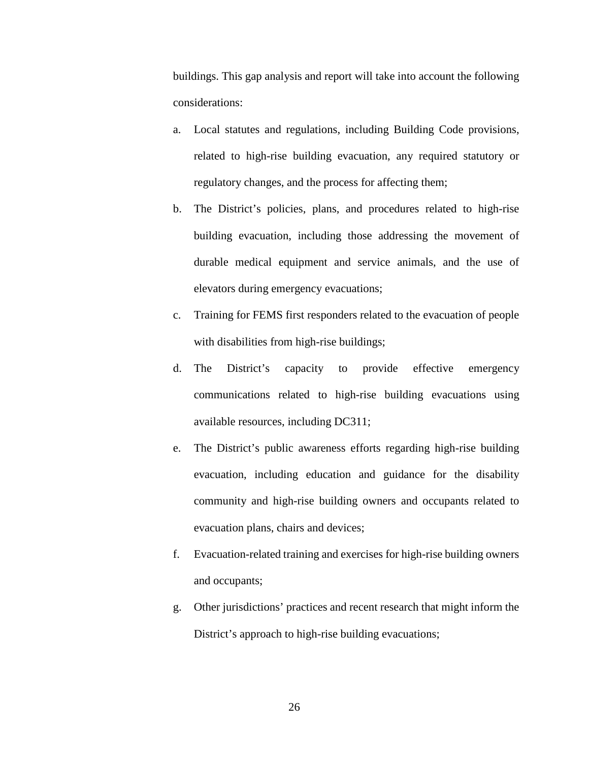buildings. This gap analysis and report will take into account the following considerations:

- a. Local statutes and regulations, including Building Code provisions, related to high-rise building evacuation, any required statutory or regulatory changes, and the process for affecting them;
- b. The District's policies, plans, and procedures related to high-rise building evacuation, including those addressing the movement of durable medical equipment and service animals, and the use of elevators during emergency evacuations;
- c. Training for FEMS first responders related to the evacuation of people with disabilities from high-rise buildings;
- d. The District's capacity to provide effective emergency communications related to high-rise building evacuations using available resources, including DC311;
- e. The District's public awareness efforts regarding high-rise building evacuation, including education and guidance for the disability community and high-rise building owners and occupants related to evacuation plans, chairs and devices;
- f. Evacuation-related training and exercises for high-rise building owners and occupants;
- g. Other jurisdictions' practices and recent research that might inform the District's approach to high-rise building evacuations;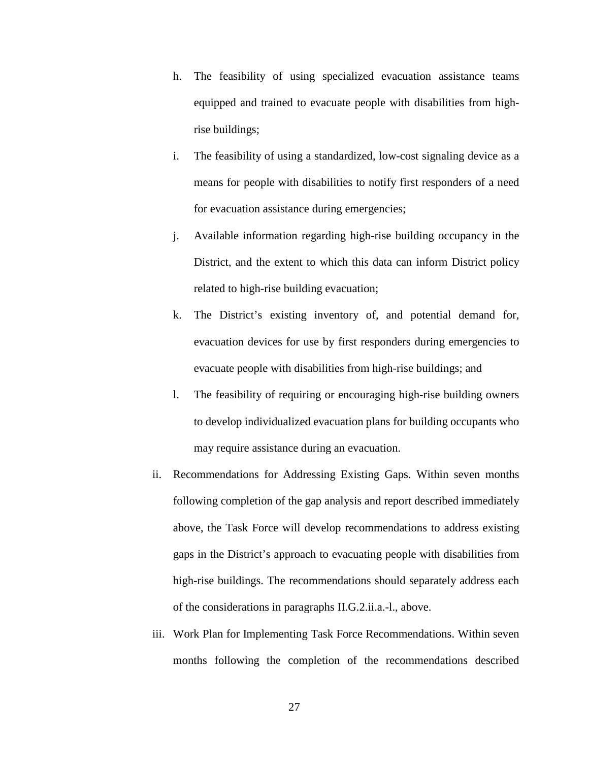- h. The feasibility of using specialized evacuation assistance teams equipped and trained to evacuate people with disabilities from highrise buildings;
- i. The feasibility of using a standardized, low-cost signaling device as a means for people with disabilities to notify first responders of a need for evacuation assistance during emergencies;
- j. Available information regarding high-rise building occupancy in the District, and the extent to which this data can inform District policy related to high-rise building evacuation;
- k. The District's existing inventory of, and potential demand for, evacuation devices for use by first responders during emergencies to evacuate people with disabilities from high-rise buildings; and
- l. The feasibility of requiring or encouraging high-rise building owners to develop individualized evacuation plans for building occupants who may require assistance during an evacuation.
- ii. Recommendations for Addressing Existing Gaps. Within seven months following completion of the gap analysis and report described immediately above, the Task Force will develop recommendations to address existing gaps in the District's approach to evacuating people with disabilities from high-rise buildings. The recommendations should separately address each of the considerations in paragraphs II.G.2.ii.a.-l., above.
- iii. Work Plan for Implementing Task Force Recommendations. Within seven months following the completion of the recommendations described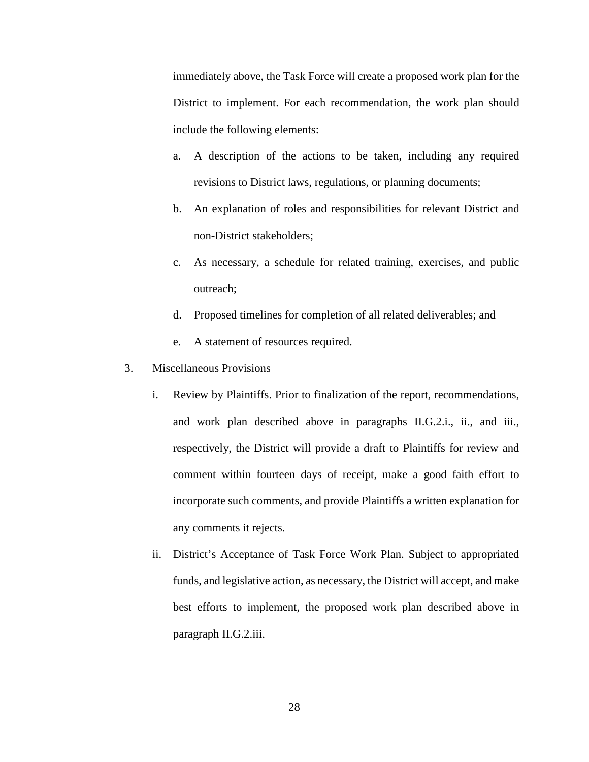immediately above, the Task Force will create a proposed work plan for the District to implement. For each recommendation, the work plan should include the following elements:

- a. A description of the actions to be taken, including any required revisions to District laws, regulations, or planning documents;
- b. An explanation of roles and responsibilities for relevant District and non-District stakeholders;
- c. As necessary, a schedule for related training, exercises, and public outreach;
- d. Proposed timelines for completion of all related deliverables; and
- e. A statement of resources required.
- 3. Miscellaneous Provisions
	- i. Review by Plaintiffs. Prior to finalization of the report, recommendations, and work plan described above in paragraphs II.G.2.i., ii., and iii., respectively, the District will provide a draft to Plaintiffs for review and comment within fourteen days of receipt, make a good faith effort to incorporate such comments, and provide Plaintiffs a written explanation for any comments it rejects.
	- ii. District's Acceptance of Task Force Work Plan. Subject to appropriated funds, and legislative action, as necessary, the District will accept, and make best efforts to implement, the proposed work plan described above in paragraph II.G.2.iii.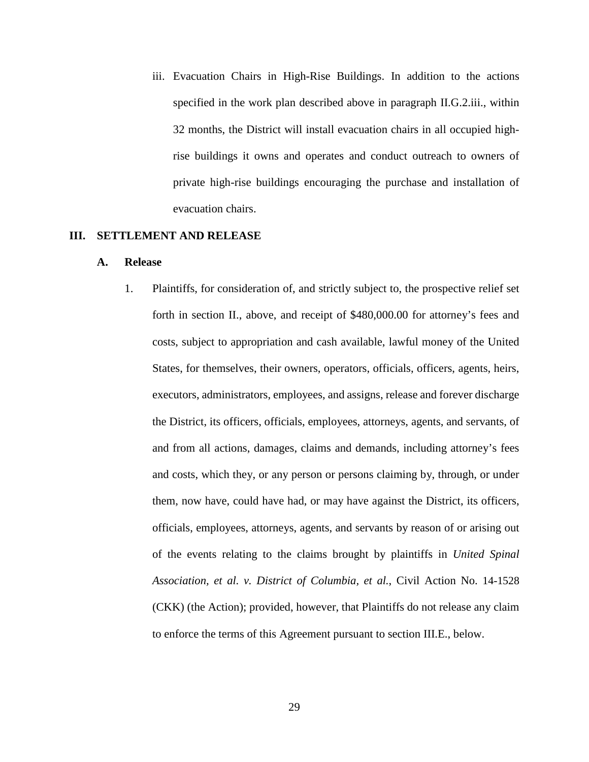iii. Evacuation Chairs in High-Rise Buildings. In addition to the actions specified in the work plan described above in paragraph II.G.2.iii., within 32 months, the District will install evacuation chairs in all occupied highrise buildings it owns and operates and conduct outreach to owners of private high-rise buildings encouraging the purchase and installation of evacuation chairs.

## **III. SETTLEMENT AND RELEASE**

#### **A. Release**

1. Plaintiffs, for consideration of, and strictly subject to, the prospective relief set forth in section II., above, and receipt of \$480,000.00 for attorney's fees and costs, subject to appropriation and cash available, lawful money of the United States, for themselves, their owners, operators, officials, officers, agents, heirs, executors, administrators, employees, and assigns, release and forever discharge the District, its officers, officials, employees, attorneys, agents, and servants, of and from all actions, damages, claims and demands, including attorney's fees and costs, which they, or any person or persons claiming by, through, or under them, now have, could have had, or may have against the District, its officers, officials, employees, attorneys, agents, and servants by reason of or arising out of the events relating to the claims brought by plaintiffs in *United Spinal Association, et al. v. District of Columbia, et al.*, Civil Action No. 14-1528 (CKK) (the Action); provided, however, that Plaintiffs do not release any claim to enforce the terms of this Agreement pursuant to section III.E., below.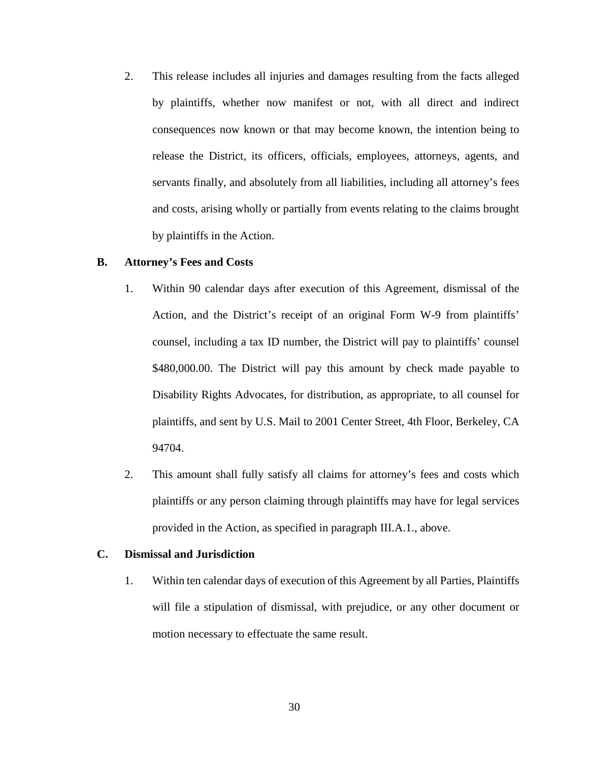2. This release includes all injuries and damages resulting from the facts alleged by plaintiffs, whether now manifest or not, with all direct and indirect consequences now known or that may become known, the intention being to release the District, its officers, officials, employees, attorneys, agents, and servants finally, and absolutely from all liabilities, including all attorney's fees and costs, arising wholly or partially from events relating to the claims brought by plaintiffs in the Action.

#### **B. Attorney's Fees and Costs**

- 1. Within 90 calendar days after execution of this Agreement, dismissal of the Action, and the District's receipt of an original Form W-9 from plaintiffs' counsel, including a tax ID number, the District will pay to plaintiffs' counsel \$480,000.00. The District will pay this amount by check made payable to Disability Rights Advocates, for distribution, as appropriate, to all counsel for plaintiffs, and sent by U.S. Mail to 2001 Center Street, 4th Floor, Berkeley, CA 94704.
- 2. This amount shall fully satisfy all claims for attorney's fees and costs which plaintiffs or any person claiming through plaintiffs may have for legal services provided in the Action, as specified in paragraph III.A.1., above.

## **C. Dismissal and Jurisdiction**

1. Within ten calendar days of execution of this Agreement by all Parties, Plaintiffs will file a stipulation of dismissal, with prejudice, or any other document or motion necessary to effectuate the same result.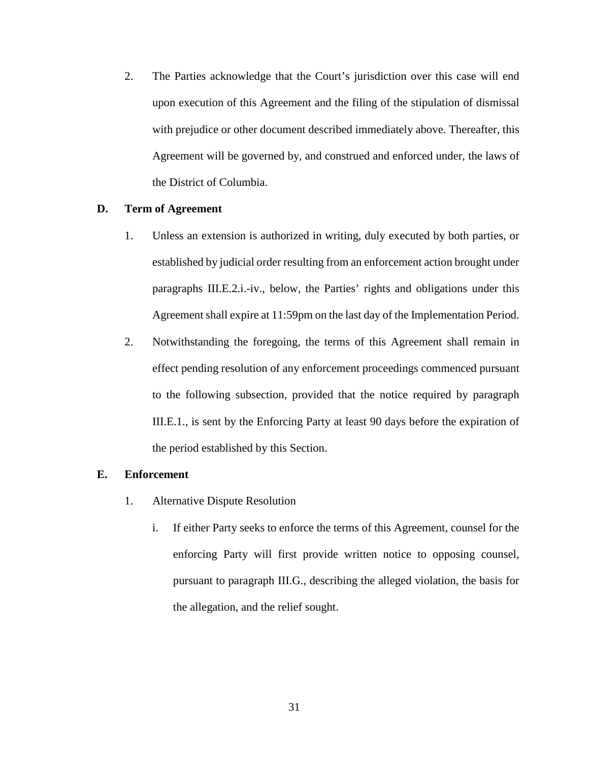2. The Parties acknowledge that the Court's jurisdiction over this case will end upon execution of this Agreement and the filing of the stipulation of dismissal with prejudice or other document described immediately above. Thereafter, this Agreement will be governed by, and construed and enforced under, the laws of the District of Columbia.

# **D. Term of Agreement**

- 1. Unless an extension is authorized in writing, duly executed by both parties, or established by judicial order resulting from an enforcement action brought under paragraphs III.E.2.i.-iv., below, the Parties' rights and obligations under this Agreement shall expire at 11:59pm on the last day of the Implementation Period.
- 2. Notwithstanding the foregoing, the terms of this Agreement shall remain in effect pending resolution of any enforcement proceedings commenced pursuant to the following subsection, provided that the notice required by paragraph III.E.1., is sent by the Enforcing Party at least 90 days before the expiration of the period established by this Section.

#### **E. Enforcement**

- 1. Alternative Dispute Resolution
	- i. If either Party seeks to enforce the terms of this Agreement, counsel for the enforcing Party will first provide written notice to opposing counsel, pursuant to paragraph III.G., describing the alleged violation, the basis for the allegation, and the relief sought.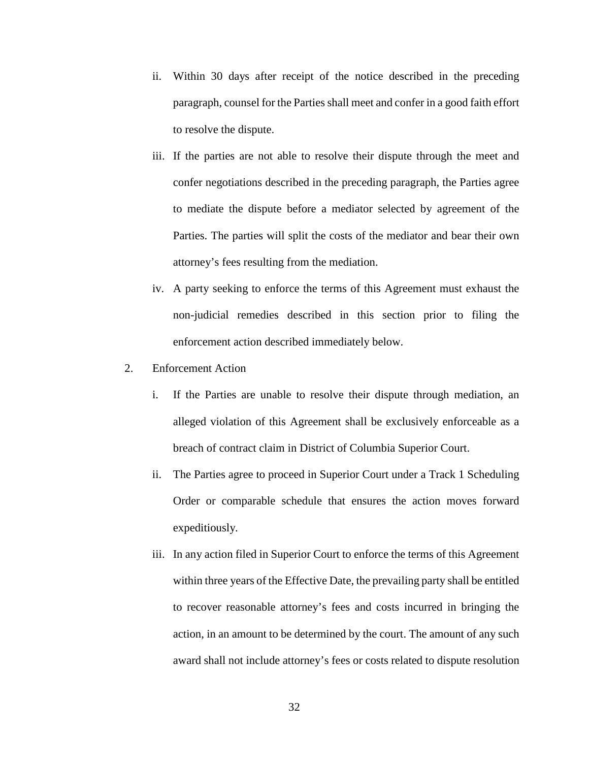- ii. Within 30 days after receipt of the notice described in the preceding paragraph, counsel for the Parties shall meet and confer in a good faith effort to resolve the dispute.
- iii. If the parties are not able to resolve their dispute through the meet and confer negotiations described in the preceding paragraph, the Parties agree to mediate the dispute before a mediator selected by agreement of the Parties. The parties will split the costs of the mediator and bear their own attorney's fees resulting from the mediation.
- iv. A party seeking to enforce the terms of this Agreement must exhaust the non-judicial remedies described in this section prior to filing the enforcement action described immediately below.
- 2. Enforcement Action
	- i. If the Parties are unable to resolve their dispute through mediation, an alleged violation of this Agreement shall be exclusively enforceable as a breach of contract claim in District of Columbia Superior Court.
	- ii. The Parties agree to proceed in Superior Court under a Track 1 Scheduling Order or comparable schedule that ensures the action moves forward expeditiously.
	- iii. In any action filed in Superior Court to enforce the terms of this Agreement within three years of the Effective Date, the prevailing party shall be entitled to recover reasonable attorney's fees and costs incurred in bringing the action, in an amount to be determined by the court. The amount of any such award shall not include attorney's fees or costs related to dispute resolution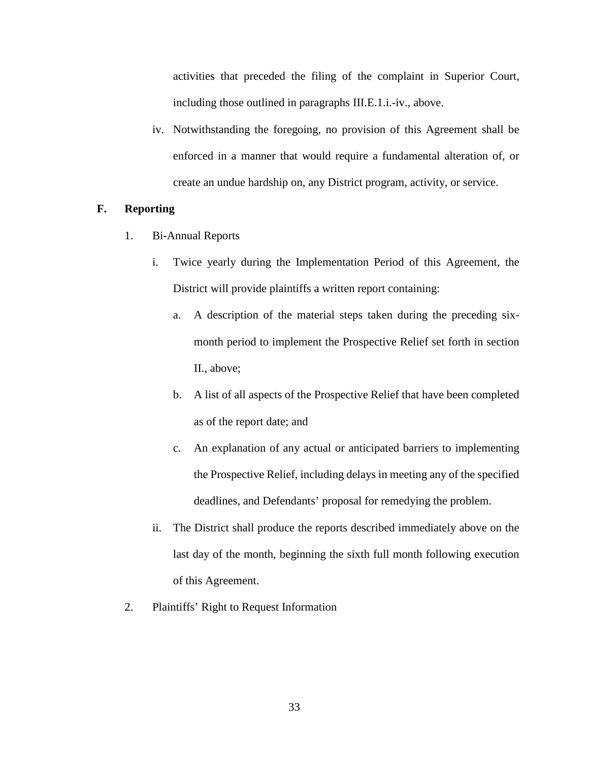activities that preceded the filing of the complaint in Superior Court, including those outlined in paragraphs III.E.1.i.-iv., above.

iv. Notwithstanding the foregoing, no provision of this Agreement shall be enforced in a manner that would require a fundamental alteration of, or create an undue hardship on, any District program, activity, or service.

# **F. Reporting**

- 1. Bi-Annual Reports
	- i. Twice yearly during the Implementation Period of this Agreement, the District will provide plaintiffs a written report containing:
		- a. A description of the material steps taken during the preceding sixmonth period to implement the Prospective Relief set forth in section II., above;
		- b. A list of all aspects of the Prospective Relief that have been completed as of the report date; and
		- c. An explanation of any actual or anticipated barriers to implementing the Prospective Relief, including delays in meeting any of the specified deadlines, and Defendants' proposal for remedying the problem.
	- ii. The District shall produce the reports described immediately above on the last day of the month, beginning the sixth full month following execution of this Agreement.
- 2. Plaintiffs' Right to Request Information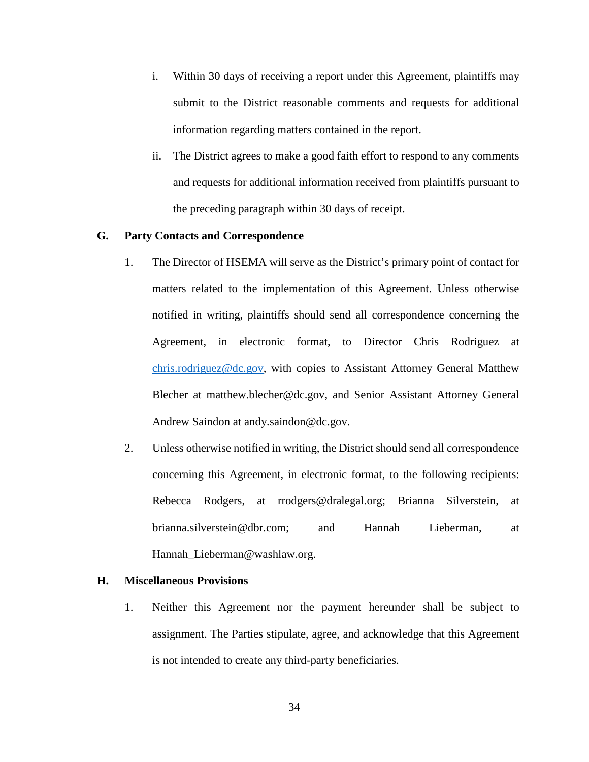- i. Within 30 days of receiving a report under this Agreement, plaintiffs may submit to the District reasonable comments and requests for additional information regarding matters contained in the report.
- ii. The District agrees to make a good faith effort to respond to any comments and requests for additional information received from plaintiffs pursuant to the preceding paragraph within 30 days of receipt.

# **G. Party Contacts and Correspondence**

- 1. The Director of HSEMA will serve as the District's primary point of contact for matters related to the implementation of this Agreement. Unless otherwise notified in writing, plaintiffs should send all correspondence concerning the Agreement, in electronic format, to Director Chris Rodriguez at [chris.rodriguez@dc.gov,](mailto:chris.rodriguez@dc.gov) with copies to Assistant Attorney General Matthew Blecher at matthew.blecher@dc.gov, and Senior Assistant Attorney General Andrew Saindon at andy.saindon@dc.gov.
- 2. Unless otherwise notified in writing, the District should send all correspondence concerning this Agreement, in electronic format, to the following recipients: Rebecca Rodgers, at rrodgers@dralegal.org; Brianna Silverstein, at brianna.silverstein@dbr.com; and Hannah Lieberman, at Hannah\_Lieberman@washlaw.org.

## **H. Miscellaneous Provisions**

1. Neither this Agreement nor the payment hereunder shall be subject to assignment. The Parties stipulate, agree, and acknowledge that this Agreement is not intended to create any third-party beneficiaries.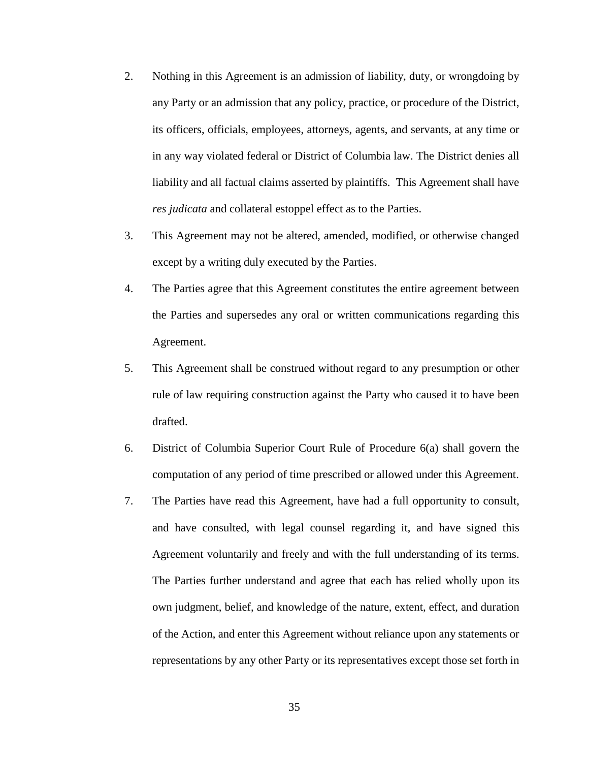- 2. Nothing in this Agreement is an admission of liability, duty, or wrongdoing by any Party or an admission that any policy, practice, or procedure of the District, its officers, officials, employees, attorneys, agents, and servants, at any time or in any way violated federal or District of Columbia law. The District denies all liability and all factual claims asserted by plaintiffs. This Agreement shall have *res judicata* and collateral estoppel effect as to the Parties.
- 3. This Agreement may not be altered, amended, modified, or otherwise changed except by a writing duly executed by the Parties.
- 4. The Parties agree that this Agreement constitutes the entire agreement between the Parties and supersedes any oral or written communications regarding this Agreement.
- 5. This Agreement shall be construed without regard to any presumption or other rule of law requiring construction against the Party who caused it to have been drafted.
- 6. District of Columbia Superior Court Rule of Procedure 6(a) shall govern the computation of any period of time prescribed or allowed under this Agreement.
- 7. The Parties have read this Agreement, have had a full opportunity to consult, and have consulted, with legal counsel regarding it, and have signed this Agreement voluntarily and freely and with the full understanding of its terms. The Parties further understand and agree that each has relied wholly upon its own judgment, belief, and knowledge of the nature, extent, effect, and duration of the Action, and enter this Agreement without reliance upon any statements or representations by any other Party or its representatives except those set forth in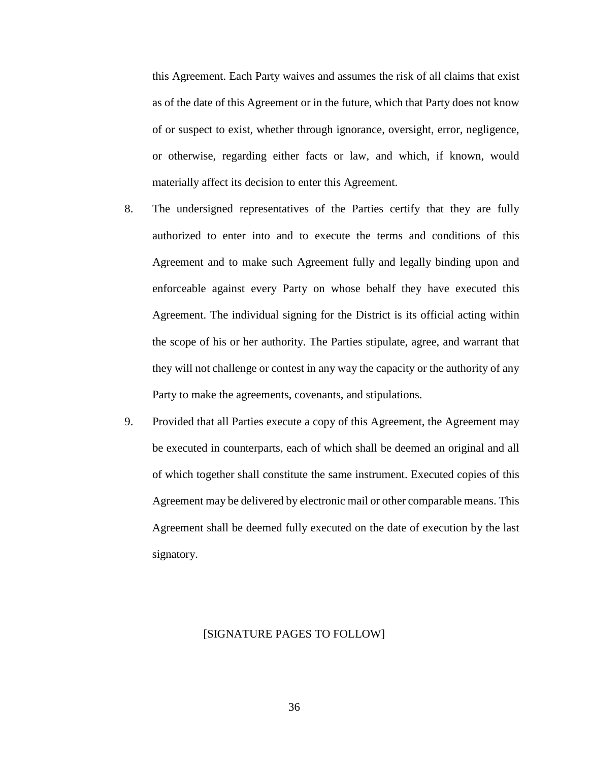this Agreement. Each Party waives and assumes the risk of all claims that exist as of the date of this Agreement or in the future, which that Party does not know of or suspect to exist, whether through ignorance, oversight, error, negligence, or otherwise, regarding either facts or law, and which, if known, would materially affect its decision to enter this Agreement.

- 8. The undersigned representatives of the Parties certify that they are fully authorized to enter into and to execute the terms and conditions of this Agreement and to make such Agreement fully and legally binding upon and enforceable against every Party on whose behalf they have executed this Agreement. The individual signing for the District is its official acting within the scope of his or her authority. The Parties stipulate, agree, and warrant that they will not challenge or contest in any way the capacity or the authority of any Party to make the agreements, covenants, and stipulations.
- 9. Provided that all Parties execute a copy of this Agreement, the Agreement may be executed in counterparts, each of which shall be deemed an original and all of which together shall constitute the same instrument. Executed copies of this Agreement may be delivered by electronic mail or other comparable means. This Agreement shall be deemed fully executed on the date of execution by the last signatory.

# [SIGNATURE PAGES TO FOLLOW]

36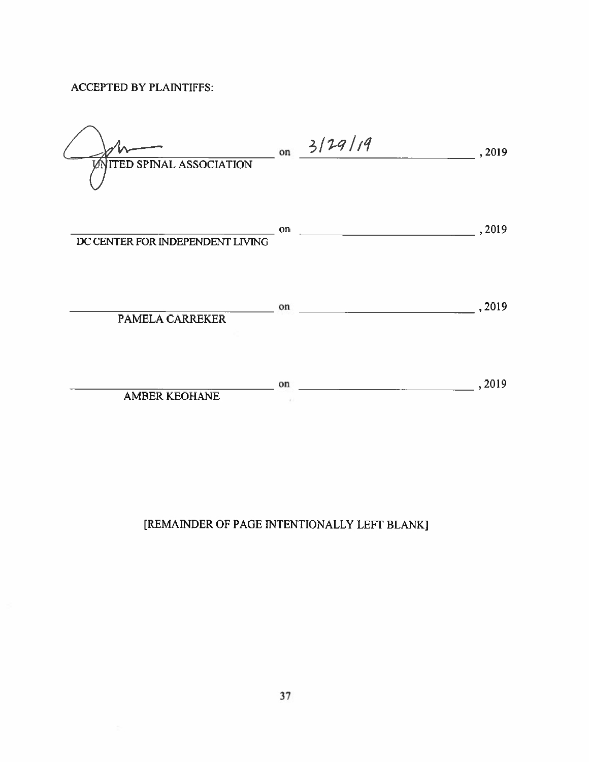# **ACCEPTED BY PLAINTIFFS:**

| <b>VNITED SPINAL ASSOCIATION</b> |    | on $3/29/19$ | , 2019 |
|----------------------------------|----|--------------|--------|
| DC CENTER FOR INDEPENDENT LIVING | on |              | ,2019  |
| <b>PAMELA CARREKER</b>           | on |              | ,2019  |
| <b>AMBER KEOHANE</b>             | on |              | ,2019  |

# [REMAINDER OF PAGE INTENTIONALLY LEFT BLANK]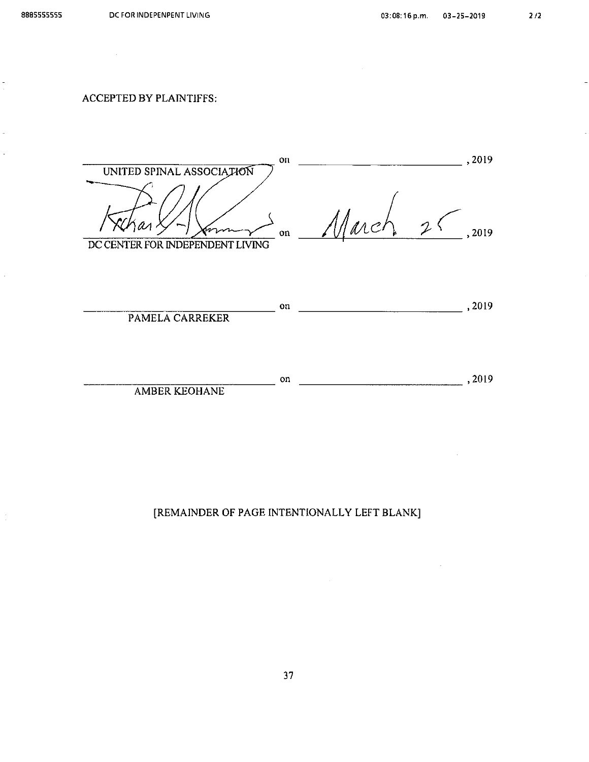#### **ACCEPTED BY PLAINTIFFS:**



 $\sim$  , 2019  $\equiv$  on AMBER KEOHANE

[REMAINDER OF PAGE INTENTIONALLY LEFT BLANK]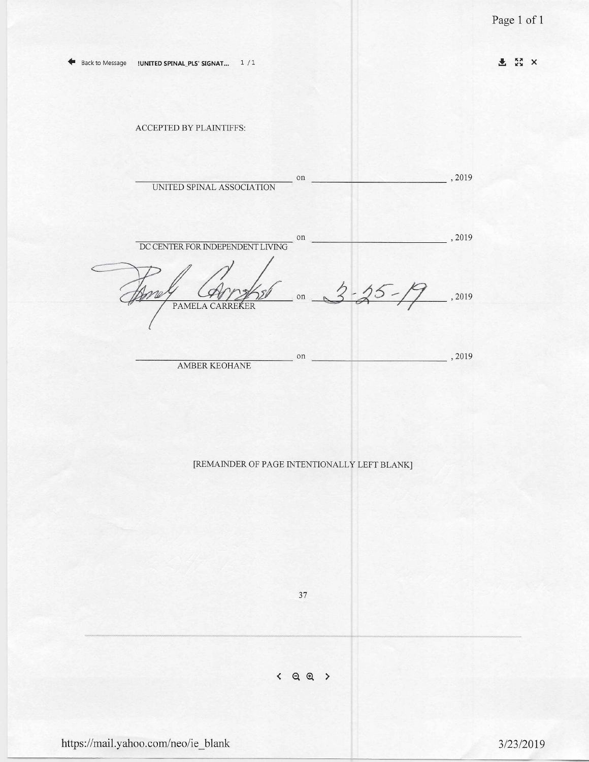上 XX X

#### ACCEPTED BY PLAINTIFFS:

 $\frac{1}{2019}$  $^{\rm on}$ UNITED SPINAL ASSOCIATION  $, 2019$  $\circ$ n DC CENTER FOR INDEPENDENT LIVING  $3 - 25 - 19$ . 2019  $526$ on  $\overline{\phantom{a}}$ PAMELA CARREKER , 2019 on **AMBER KEOHANE** 

#### [REMAINDER OF PAGE INTENTIONALLY LEFT BLANK]

37

 $\leftarrow$  Q Q >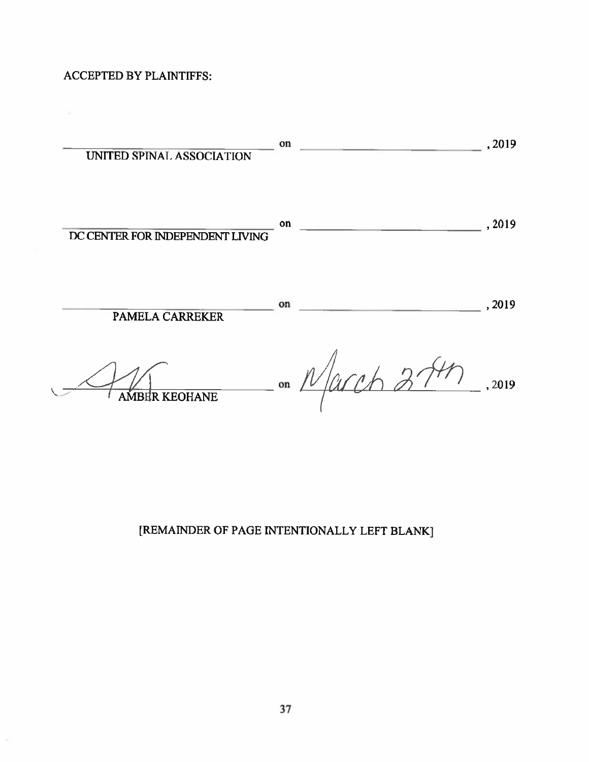**ACCEPTED BY PLAINTIFFS:** 

 $\langle \frac{\partial \mathbf{1}}{\partial \mathbf{1}} \rangle$ 

ş

| UNITED SPINAL ASSOCIATION        | on | ,2019  |
|----------------------------------|----|--------|
| DC CENTER FOR INDEPENDENT LIVING | on | ,2019  |
| <b>PAMELA CARREKER</b>           | on | , 2019 |
| <b>AMBER KEOHANE</b>             | on | , 2019 |

[REMAINDER OF PAGE INTENTIONALLY LEFT BLANK]